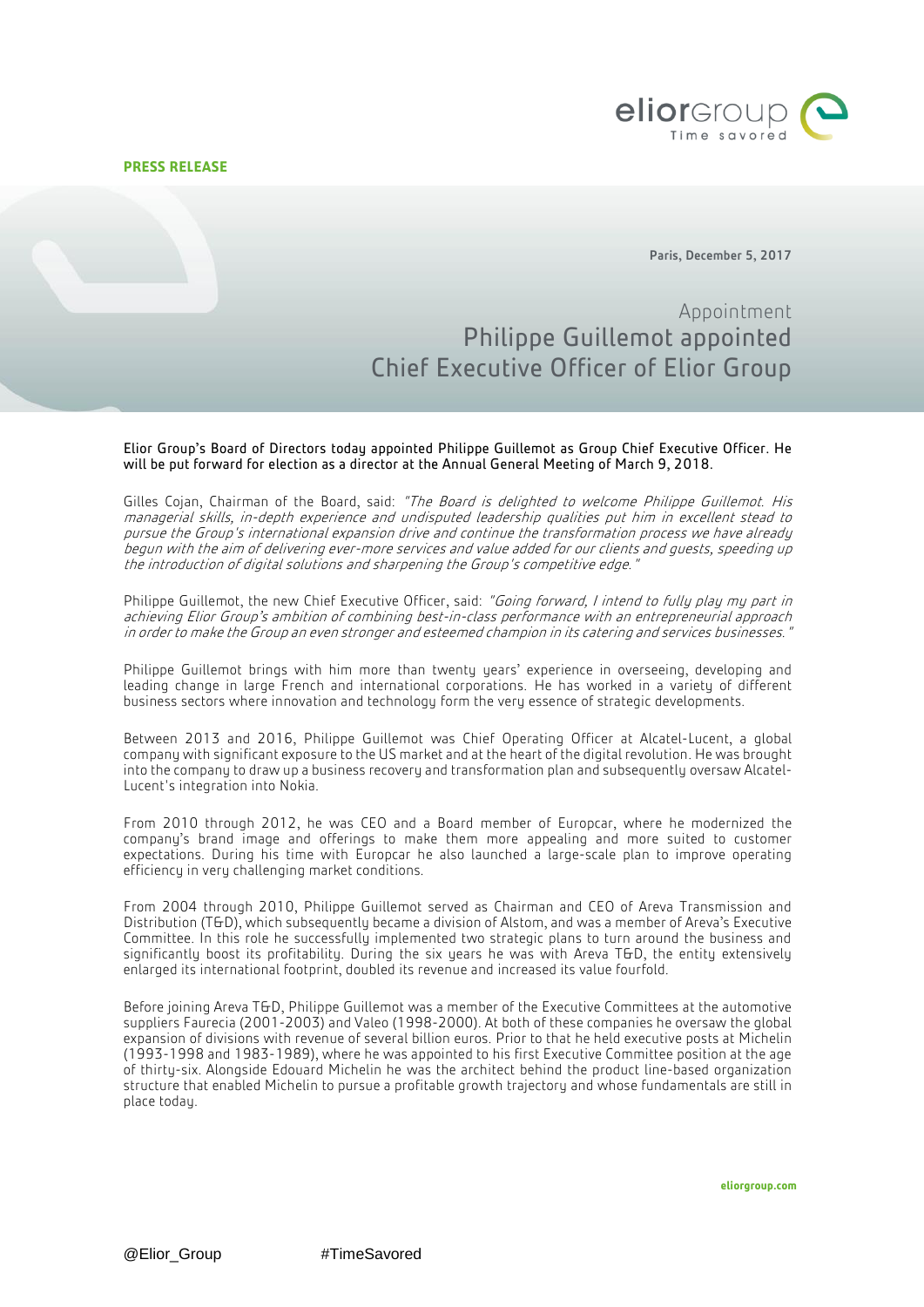## **PRESS RELEASE**



Paris, December 5, 2017

# Appointment Philippe Guillemot appointed Chief Executive Officer of Elior Group

Elior Group's Board of Directors today appointed Philippe Guillemot as Group Chief Executive Officer. He will be put forward for election as a director at the Annual General Meeting of March 9, 2018.

Gilles Cojan, Chairman of the Board, said: "The Board is delighted to welcome Philippe Guillemot. His managerial skills, in-depth experience and undisputed leadership qualities put him in excellent stead to pursue the Group's international expansion drive and continue the transformation process we have already begun with the aim of delivering ever-more services and value added for our clients and guests, speeding up the introduction of digital solutions and sharpening the Group's competitive edge."

Philippe Guillemot, the new Chief Executive Officer, said: "Going forward, I intend to fully play my part in achieving Elior Group's ambition of combining best-in-class performance with an entrepreneurial approach in order to make the Group an even stronger and esteemed champion in its catering and services businesses."

Philippe Guillemot brings with him more than twenty years' experience in overseeing, developing and leading change in large French and international corporations. He has worked in a variety of different business sectors where innovation and technology form the very essence of strategic developments.

Between 2013 and 2016, Philippe Guillemot was Chief Operating Officer at Alcatel-Lucent, a global company with significant exposure to the US market and at the heart of the digital revolution. He was brought into the company to draw up a business recovery and transformation plan and subsequently oversaw Alcatel-Lucent's integration into Nokia.

From 2010 through 2012, he was CEO and a Board member of Europcar, where he modernized the company's brand image and offerings to make them more appealing and more suited to customer expectations. During his time with Europcar he also launched a large-scale plan to improve operating efficiency in very challenging market conditions.

From 2004 through 2010, Philippe Guillemot served as Chairman and CEO of Areva Transmission and Distribution (T&D), which subsequently became a division of Alstom, and was a member of Areva's Executive Committee. In this role he successfully implemented two strategic plans to turn around the business and significantly boost its profitability. During the six years he was with Areva T&D, the entity extensively enlarged its international footprint, doubled its revenue and increased its value fourfold.

Before joining Areva T&D, Philippe Guillemot was a member of the Executive Committees at the automotive suppliers Faurecia (2001-2003) and Valeo (1998-2000). At both of these companies he oversaw the global expansion of divisions with revenue of several billion euros. Prior to that he held executive posts at Michelin (1993-1998 and 1983-1989), where he was appointed to his first Executive Committee position at the age of thirty-six. Alongside Edouard Michelin he was the architect behind the product line-based organization structure that enabled Michelin to pursue a profitable growth trajectory and whose fundamentals are still in place today.

**eliorgroup.com**